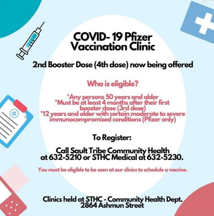## **COVID-19 Pfizer**<br>Vaccination Clinic

2nd Booster Dose (4th dose) now being offered

Who is eligible?

\*Any persons 50 years and older<br>\*Must be at least 4 months after their first booster dose (3rd dose)<br>
\*12 years and older with certain moderate to severe<br>
immunocompromised conditions (Pfizer only)

To Register:

## Call Sault Tribe Community Health<br>at 632-5210 or STHC Medical at 632-5230.

You must be eligible to be seen at our clinics to schedule a vaccine.

Clinics held at STHC - Community Health Dept.<br>2864 Ashmun Street